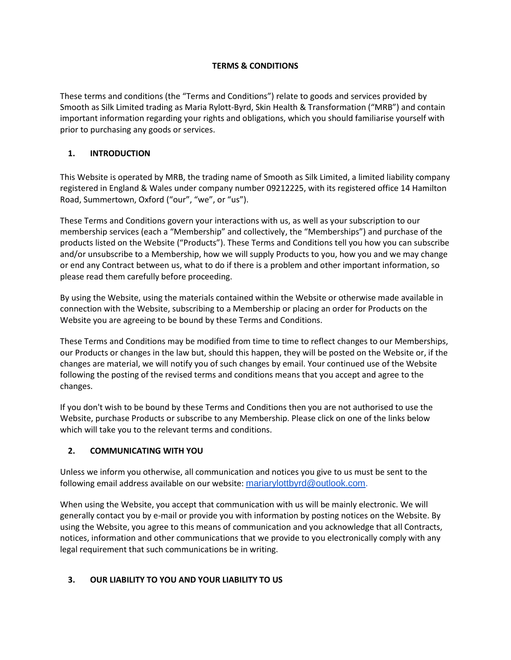## **TERMS & CONDITIONS**

These terms and conditions (the "Terms and Conditions") relate to goods and services provided by Smooth as Silk Limited trading as Maria Rylott-Byrd, Skin Health & Transformation ("MRB") and contain important information regarding your rights and obligations, which you should familiarise yourself with prior to purchasing any goods or services.

## **1. INTRODUCTION**

This Website is operated by MRB, the trading name of Smooth as Silk Limited, a limited liability company registered in England & Wales under company number 09212225, with its registered office 14 Hamilton Road, Summertown, Oxford ("our", "we", or "us").

These Terms and Conditions govern your interactions with us, as well as your subscription to our membership services (each a "Membership" and collectively, the "Memberships") and purchase of the products listed on the Website ("Products"). These Terms and Conditions tell you how you can subscribe and/or unsubscribe to a Membership, how we will supply Products to you, how you and we may change or end any Contract between us, what to do if there is a problem and other important information, so please read them carefully before proceeding.

By using the Website, using the materials contained within the Website or otherwise made available in connection with the Website, subscribing to a Membership or placing an order for Products on the Website you are agreeing to be bound by these Terms and Conditions.

These Terms and Conditions may be modified from time to time to reflect changes to our Memberships, our Products or changes in the law but, should this happen, they will be posted on the Website or, if the changes are material, we will notify you of such changes by email. Your continued use of the Website following the posting of the revised terms and conditions means that you accept and agree to the changes.

If you don't wish to be bound by these Terms and Conditions then you are not authorised to use the Website, purchase Products or subscribe to any Membership. Please click on one of the links below which will take you to the relevant terms and conditions.

# **2. COMMUNICATING WITH YOU**

Unless we inform you otherwise, all communication and notices you give to us must be sent to the following email address available on our website: [mariarylottbyrd@outlook.com.](mailto:mariarylottbyrd@outlook.com)

When using the Website, you accept that communication with us will be mainly electronic. We will generally contact you by e-mail or provide you with information by posting notices on the Website. By using the Website, you agree to this means of communication and you acknowledge that all Contracts, notices, information and other communications that we provide to you electronically comply with any legal requirement that such communications be in writing.

### **3. OUR LIABILITY TO YOU AND YOUR LIABILITY TO US**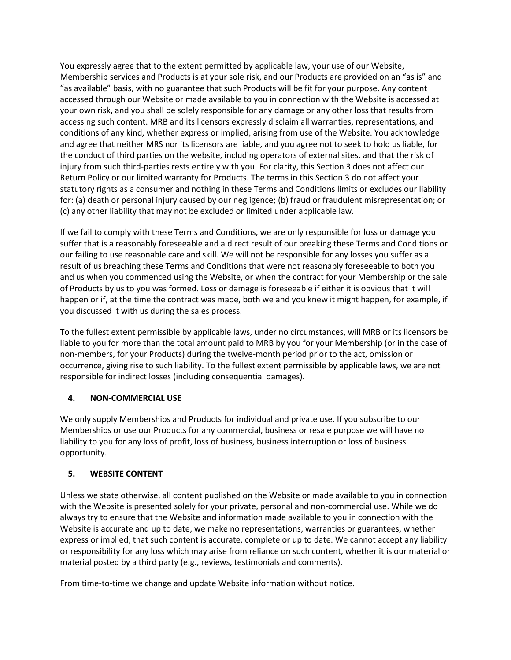You expressly agree that to the extent permitted by applicable law, your use of our Website, Membership services and Products is at your sole risk, and our Products are provided on an "as is" and "as available" basis, with no guarantee that such Products will be fit for your purpose. Any content accessed through our Website or made available to you in connection with the Website is accessed at your own risk, and you shall be solely responsible for any damage or any other loss that results from accessing such content. MRB and its licensors expressly disclaim all warranties, representations, and conditions of any kind, whether express or implied, arising from use of the Website. You acknowledge and agree that neither MRS nor its licensors are liable, and you agree not to seek to hold us liable, for the conduct of third parties on the website, including operators of external sites, and that the risk of injury from such third-parties rests entirely with you. For clarity, this Section 3 does not affect our Return Policy or our limited warranty for Products. The terms in this Section 3 do not affect your statutory rights as a consumer and nothing in these Terms and Conditions limits or excludes our liability for: (a) death or personal injury caused by our negligence; (b) fraud or fraudulent misrepresentation; or (c) any other liability that may not be excluded or limited under applicable law.

If we fail to comply with these Terms and Conditions, we are only responsible for loss or damage you suffer that is a reasonably foreseeable and a direct result of our breaking these Terms and Conditions or our failing to use reasonable care and skill. We will not be responsible for any losses you suffer as a result of us breaching these Terms and Conditions that were not reasonably foreseeable to both you and us when you commenced using the Website, or when the contract for your Membership or the sale of Products by us to you was formed. Loss or damage is foreseeable if either it is obvious that it will happen or if, at the time the contract was made, both we and you knew it might happen, for example, if you discussed it with us during the sales process.

To the fullest extent permissible by applicable laws, under no circumstances, will MRB or its licensors be liable to you for more than the total amount paid to MRB by you for your Membership (or in the case of non-members, for your Products) during the twelve-month period prior to the act, omission or occurrence, giving rise to such liability. To the fullest extent permissible by applicable laws, we are not responsible for indirect losses (including consequential damages).

### **4. NON-COMMERCIAL USE**

We only supply Memberships and Products for individual and private use. If you subscribe to our Memberships or use our Products for any commercial, business or resale purpose we will have no liability to you for any loss of profit, loss of business, business interruption or loss of business opportunity.

### **5. WEBSITE CONTENT**

Unless we state otherwise, all content published on the Website or made available to you in connection with the Website is presented solely for your private, personal and non-commercial use. While we do always try to ensure that the Website and information made available to you in connection with the Website is accurate and up to date, we make no representations, warranties or guarantees, whether express or implied, that such content is accurate, complete or up to date. We cannot accept any liability or responsibility for any loss which may arise from reliance on such content, whether it is our material or material posted by a third party (e.g., reviews, testimonials and comments).

From time-to-time we change and update Website information without notice.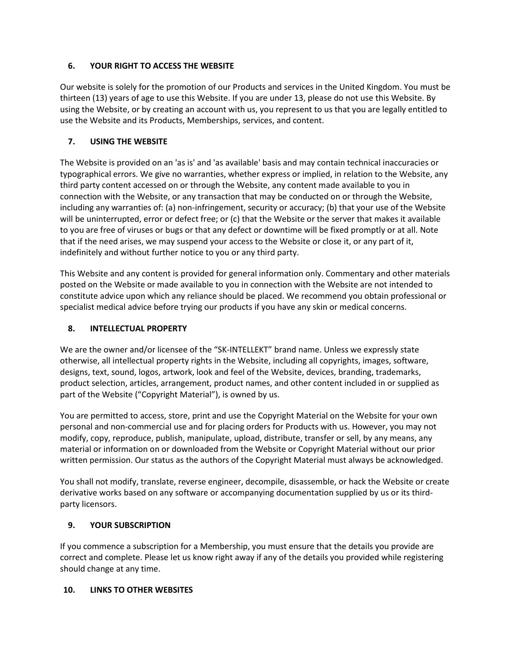## **6. YOUR RIGHT TO ACCESS THE WEBSITE**

Our website is solely for the promotion of our Products and services in the United Kingdom. You must be thirteen (13) years of age to use this Website. If you are under 13, please do not use this Website. By using the Website, or by creating an account with us, you represent to us that you are legally entitled to use the Website and its Products, Memberships, services, and content.

## **7. USING THE WEBSITE**

The Website is provided on an 'as is' and 'as available' basis and may contain technical inaccuracies or typographical errors. We give no warranties, whether express or implied, in relation to the Website, any third party content accessed on or through the Website, any content made available to you in connection with the Website, or any transaction that may be conducted on or through the Website, including any warranties of: (a) non-infringement, security or accuracy; (b) that your use of the Website will be uninterrupted, error or defect free; or (c) that the Website or the server that makes it available to you are free of viruses or bugs or that any defect or downtime will be fixed promptly or at all. Note that if the need arises, we may suspend your access to the Website or close it, or any part of it, indefinitely and without further notice to you or any third party.

This Website and any content is provided for general information only. Commentary and other materials posted on the Website or made available to you in connection with the Website are not intended to constitute advice upon which any reliance should be placed. We recommend you obtain professional or specialist medical advice before trying our products if you have any skin or medical concerns.

## **8. INTELLECTUAL PROPERTY**

We are the owner and/or licensee of the "SK-INTELLEKT" brand name. Unless we expressly state otherwise, all intellectual property rights in the Website, including all copyrights, images, software, designs, text, sound, logos, artwork, look and feel of the Website, devices, branding, trademarks, product selection, articles, arrangement, product names, and other content included in or supplied as part of the Website ("Copyright Material"), is owned by us.

You are permitted to access, store, print and use the Copyright Material on the Website for your own personal and non-commercial use and for placing orders for Products with us. However, you may not modify, copy, reproduce, publish, manipulate, upload, distribute, transfer or sell, by any means, any material or information on or downloaded from the Website or Copyright Material without our prior written permission. Our status as the authors of the Copyright Material must always be acknowledged.

You shall not modify, translate, reverse engineer, decompile, disassemble, or hack the Website or create derivative works based on any software or accompanying documentation supplied by us or its thirdparty licensors.

### **9. YOUR SUBSCRIPTION**

If you commence a subscription for a Membership, you must ensure that the details you provide are correct and complete. Please let us know right away if any of the details you provided while registering should change at any time.

### **10. LINKS TO OTHER WEBSITES**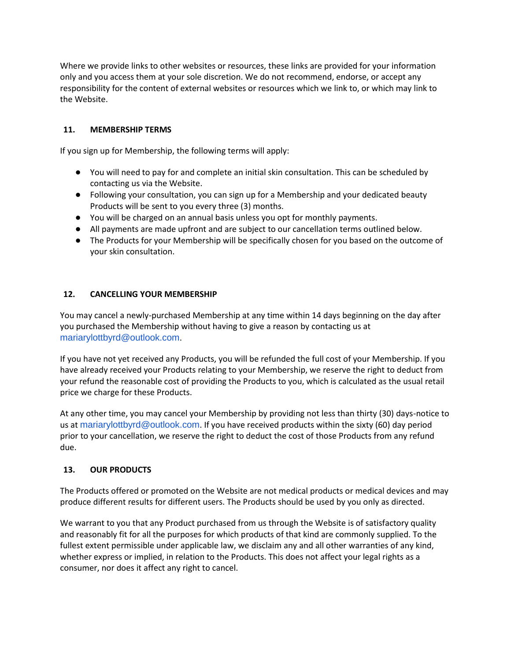Where we provide links to other websites or resources, these links are provided for your information only and you access them at your sole discretion. We do not recommend, endorse, or accept any responsibility for the content of external websites or resources which we link to, or which may link to the Website.

### **11. MEMBERSHIP TERMS**

If you sign up for Membership, the following terms will apply:

- You will need to pay for and complete an initial skin consultation. This can be scheduled by contacting us via the Website.
- Following your consultation, you can sign up for a Membership and your dedicated beauty Products will be sent to you every three (3) months.
- You will be charged on an annual basis unless you opt for monthly payments.
- All payments are made upfront and are subject to our cancellation terms outlined below.
- The Products for your Membership will be specifically chosen for you based on the outcome of your skin consultation.

#### **12. CANCELLING YOUR MEMBERSHIP**

You may cancel a newly-purchased Membership at any time within 14 days beginning on the day after you purchased the Membership without having to give a reason by contacting us at mariarylottbyrd@outlook.com.

If you have not yet received any Products, you will be refunded the full cost of your Membership. If you have already received your Products relating to your Membership, we reserve the right to deduct from your refund the reasonable cost of providing the Products to you, which is calculated as the usual retail price we charge for these Products.

At any other time, you may cancel your Membership by providing not less than thirty (30) days-notice to us at mariarylottbyrd@outlook.com. If you have received products within the sixty (60) day period prior to your cancellation, we reserve the right to deduct the cost of those Products from any refund due.

### **13. OUR PRODUCTS**

The Products offered or promoted on the Website are not medical products or medical devices and may produce different results for different users. The Products should be used by you only as directed.

We warrant to you that any Product purchased from us through the Website is of satisfactory quality and reasonably fit for all the purposes for which products of that kind are commonly supplied. To the fullest extent permissible under applicable law, we disclaim any and all other warranties of any kind, whether express or implied, in relation to the Products. This does not affect your legal rights as a consumer, nor does it affect any right to cancel.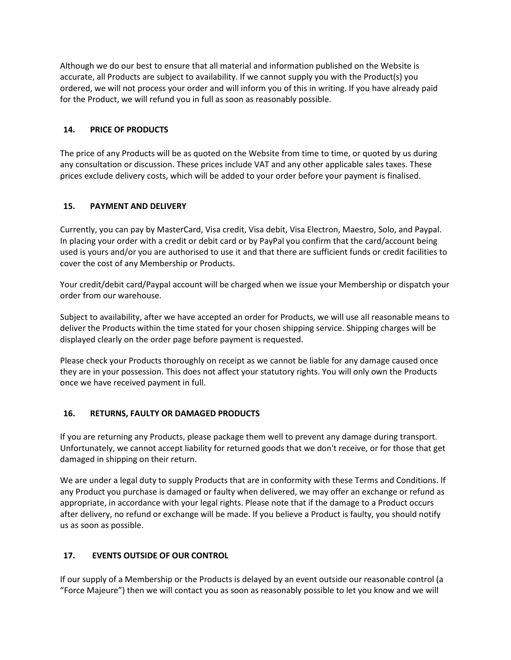Although we do our best to ensure that all material and information published on the Website is accurate, all Products are subject to availability. If we cannot supply you with the Product(s) you ordered, we will not process your order and will inform you of this in writing. If you have already paid for the Product, we will refund you in full as soon as reasonably possible.

### **14. PRICE OF PRODUCTS**

The price of any Products will be as quoted on the Website from time to time, or quoted by us during any consultation or discussion. These prices include VAT and any other applicable sales taxes. These prices exclude delivery costs, which will be added to your order before your payment is finalised.

### **15. PAYMENT AND DELIVERY**

Currently, you can pay by MasterCard, Visa credit, Visa debit, Visa Electron, Maestro, Solo, and Paypal. In placing your order with a credit or debit card or by PayPal you confirm that the card/account being used is yours and/or you are authorised to use it and that there are sufficient funds or credit facilities to cover the cost of any Membership or Products.

Your credit/debit card/Paypal account will be charged when we issue your Membership or dispatch your order from our warehouse.

Subject to availability, after we have accepted an order for Products, we will use all reasonable means to deliver the Products within the time stated for your chosen shipping service. Shipping charges will be displayed clearly on the order page before payment is requested.

Please check your Products thoroughly on receipt as we cannot be liable for any damage caused once they are in your possession. This does not affect your statutory rights. You will only own the Products once we have received payment in full.

#### **16. RETURNS, FAULTY OR DAMAGED PRODUCTS**

If you are returning any Products, please package them well to prevent any damage during transport. Unfortunately, we cannot accept liability for returned goods that we don't receive, or for those that get damaged in shipping on their return.

We are under a legal duty to supply Products that are in conformity with these Terms and Conditions. If any Product you purchase is damaged or faulty when delivered, we may offer an exchange or refund as appropriate, in accordance with your legal rights. Please note that if the damage to a Product occurs after delivery, no refund or exchange will be made. If you believe a Product is faulty, you should notify us as soon as possible.

### **17. EVENTS OUTSIDE OF OUR CONTROL**

If our supply of a Membership or the Products is delayed by an event outside our reasonable control (a "Force Majeure") then we will contact you as soon as reasonably possible to let you know and we will